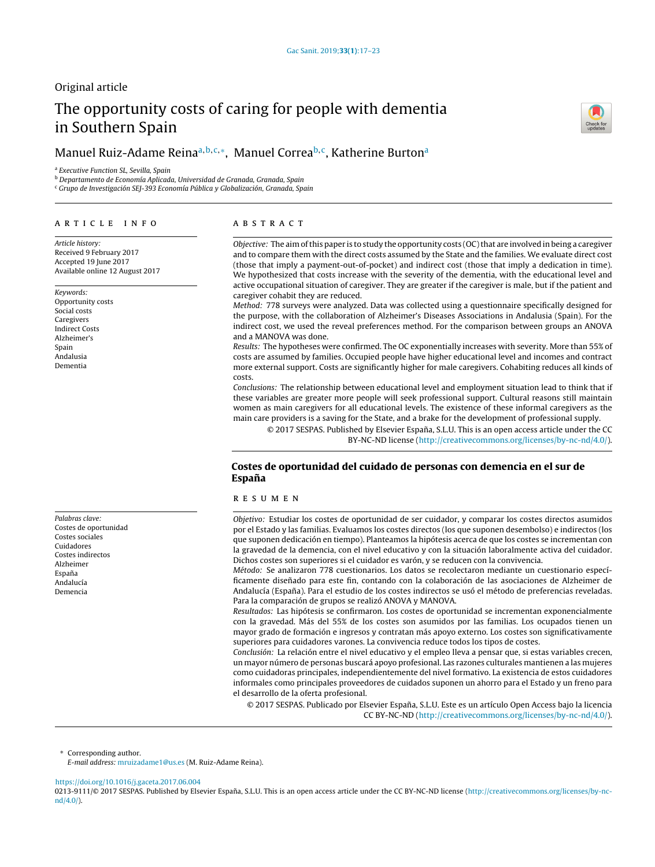# Original article The opportunity costs of caring for people with dementia in Southern Spain

# Manuel Ruiz-Adame Reina<sup>a, b, c,</sup> \*, Manuel Correa<sup>b, c</sup>, Katherine Burton<sup>a</sup>

<sup>a</sup> Executive Function SL, Sevilla, Spain

<sup>b</sup> Departamento de Economía Aplicada, Universidad de Granada, Granada, Spain

<sup>c</sup> Grupo de Investigación SEJ-393 Economía Pública y Globalización, Granada, Spain

#### a r t i c l e i n f o

Article history: Received 9 February 2017 Accepted 19 June 2017 Available online 12 August 2017

Keywords: Opportunity costs Social costs Caregivers Indirect Costs Alzheimer's Spain Andalusia Dementia

Palabras clave: Costes de oportunidad Costes sociales Cuidadores Costes indirectos Alzheimer Espana˜ Andalucía Demencia

# A B S T R A C T

Objective: The aim of this paper is to study the opportunity costs (OC) that are involved in being a caregiver and to compare them with the direct costs assumed by the State and the families. We evaluate direct cost (those that imply a payment-out-of-pocket) and indirect cost (those that imply a dedication in time). We hypothesized that costs increase with the severity of the dementia, with the educational level and active occupational situation of caregiver. They are greater if the caregiver is male, but if the patient and caregiver cohabit they are reduced.

Method: 778 surveys were analyzed. Data was collected using a questionnaire specifically designed for the purpose, with the collaboration of Alzheimer's Diseases Associations in Andalusia (Spain). For the indirect cost, we used the reveal preferences method. For the comparison between groups an ANOVA and a MANOVA was done.

Results: The hypotheses were confirmed. The OC exponentially increases with severity. More than 55% of costs are assumed by families. Occupied people have higher educational level and incomes and contract more external support. Costs are significantly higher for male caregivers. Cohabiting reduces all kinds of costs.

Conclusions: The relationship between educational level and employment situation lead to think that if these variables are greater more people will seek professional support. Cultural reasons still maintain women as main caregivers for all educational levels. The existence of these informal caregivers as the main care providers is a saving for the State, and a brake for the development of professional supply.

© 2017 SESPAS. Published by Elsevier España, S.L.U. This is an open access article under the CC BY-NC-ND license [\(http://creativecommons.org/licenses/by-nc-nd/4.0/](http://creativecommons.org/licenses/by-nc-nd/4.0/)).

# Costes de oportunidad del cuidado de personas con demencia en el sur de España

#### r e s u m e n

Objetivo: Estudiar los costes de oportunidad de ser cuidador, y comparar los costes directos asumidos por el Estado y las familias. Evaluamos los costes directos (los que suponen desembolso) e indirectos (los que suponen dedicación en tiempo). Planteamos la hipótesis acerca de que los costes se incrementan con la gravedad de la demencia, con el nivel educativo y con la situación laboralmente activa del cuidador. Dichos costes son superiores si el cuidador es varón, y se reducen con la convivencia.

Método: Se analizaron 778 cuestionarios. Los datos se recolectaron mediante un cuestionario específicamente diseñado para este fin, contando con la colaboración de las asociaciones de Alzheimer de Andalucía (España). Para el estudio de los costes indirectos se usó el método de preferencias reveladas. Para la comparación de grupos se realizó ANOVA y MANOVA.

Resultados: Las hipótesis se confirmaron. Los costes de oportunidad se incrementan exponencialmente con la gravedad. Más del 55% de los costes son asumidos por las familias. Los ocupados tienen un mayor grado de formación e ingresos y contratan más apoyo externo. Los costes son significativamente superiores para cuidadores varones. La convivencia reduce todos los tipos de costes.

Conclusión: La relación entre el nivel educativo y el empleo lleva a pensar que, si estas variables crecen, un mayor número de personas buscará apoyo profesional. Las razones culturales mantienen a las mujeres como cuidadoras principales, independientemente del nivel formativo. La existencia de estos cuidadores informales como principales proveedores de cuidados suponen un ahorro para el Estado y un freno para el desarrollo de la oferta profesional.

© 2017 SESPAS. Publicado por Elsevier España, S.L.U. Este es un artículo Open Access bajo la licencia CC BY-NC-ND [\(http://creativecommons.org/licenses/by-nc-nd/4.0/](http://creativecommons.org/licenses/by-nc-nd/4.0/)).

∗ Corresponding author.

E-mail address: [mruizadame1@us.es](mailto:mruizadame1@us.es) (M. Ruiz-Adame Reina).

<https://doi.org/10.1016/j.gaceta.2017.06.004>

0213-9111/© 2017 SESPAS. Published by Elsevier España, S.L.U. This is an open access article under the CC BY-NC-ND license [\(http://creativecommons.org/licenses/by-nc](http://creativecommons.org/licenses/by-nc-nd/4.0/)[nd/4.0/\)](http://creativecommons.org/licenses/by-nc-nd/4.0/).

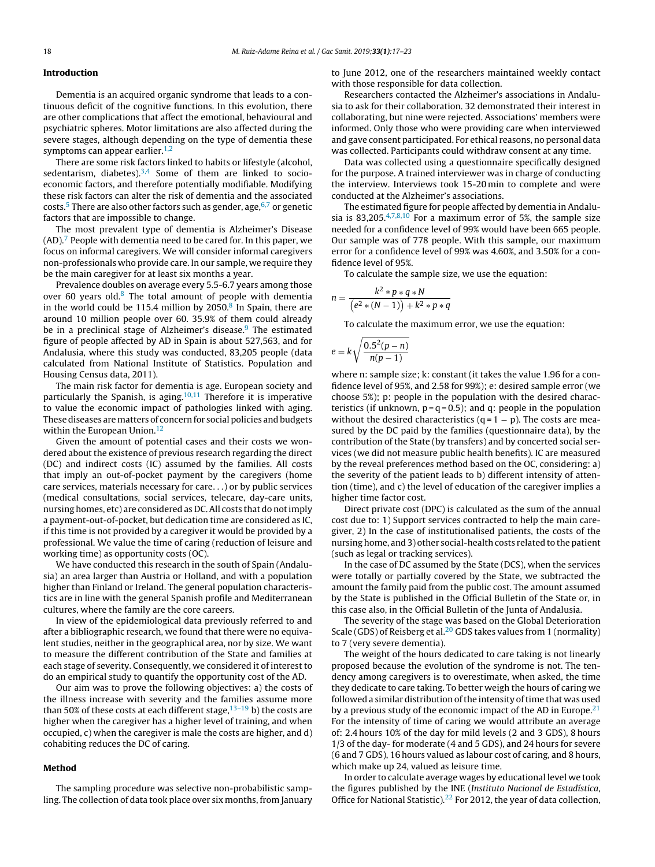# Introduction

Dementia is an acquired organic syndrome that leads to a continuous deficit of the cognitive functions. In this evolution, there are other complications that affect the emotional, behavioural and psychiatric spheres. Motor limitations are also affected during the severe stages, although depending on the type of dementia these symptoms can appear earlier. $1,2$ 

There are some risk factors linked to habits or lifestyle (alcohol, sedentarism, diabetes).<sup>[3,4](#page-5-0)</sup> Some of them are linked to socioeconomic factors, and therefore potentially modifiable. Modifying these risk factors can alter the risk of dementia and the associated costs.<sup>5</sup> [T](#page-6-0)here are also other factors such as gender, age,  $6,7$  or genetic factors that are impossible to change.

The most prevalent type of dementia is Alzheimer's Disease  $(AD)$ .<sup>[7](#page-6-0)</sup> People with dementia need to be cared for. In this paper, we focus on informal caregivers. We will consider informal caregivers non-professionals who provide care. In our sample, we require they be the main caregiver for at least six months a year.

Prevalence doubles on average every 5.5-6.7 years among those over 60 years old. $8$  The total amount of people with dementia in the world could be 115.4 million by 2050.<sup>[8](#page-6-0)</sup> In Spain, there are around 10 million people over 60. 35.9% of them could already be in a preclinical stage of Alzheimer's disease.<sup>[9](#page-6-0)</sup> The estimated figure of people affected by AD in Spain is about 527,563, and for Andalusia, where this study was conducted, 83,205 people (data calculated from National Institute of Statistics. Population and Housing Census data, 2011).

The main risk factor for dementia is age. European society and particularly the Spanish, is aging.<sup>[10,11](#page-6-0)</sup> Therefore it is imperative to value the economic impact of pathologies linked with aging. These diseases are matters of concern for social policies and budgets within the European Union.<sup>[12](#page-6-0)</sup>

Given the amount of potential cases and their costs we wondered about the existence of previous research regarding the direct (DC) and indirect costs (IC) assumed by the families. All costs that imply an out-of-pocket payment by the caregivers (home care services, materials necessary for care. . .) or by public services (medical consultations, social services, telecare, day-care units, nursing homes, etc) are considered as DC. All costs that do not imply a payment-out-of-pocket, but dedication time are considered as IC, if this time is not provided by a caregiver it would be provided by a professional. We value the time of caring (reduction of leisure and working time) as opportunity costs (OC).

We have conducted this research in the south of Spain (Andalusia) an area larger than Austria or Holland, and with a population higher than Finland or Ireland. The general population characteristics are in line with the general Spanish profile and Mediterranean cultures, where the family are the core careers.

In view of the epidemiological data previously referred to and after a bibliographic research, we found that there were no equivalent studies, neither in the geographical area, nor by size. We want to measure the different contribution of the State and families at each stage of severity. Consequently, we considered it of interest to do an empirical study to quantify the opportunity cost of the AD.

Our aim was to prove the following objectives: a) the costs of the illness increase with severity and the families assume more than 50% of these costs at each different stage,  $13-19$  b) the costs are higher when the caregiver has a higher level of training, and when occupied, c) when the caregiver is male the costs are higher, and d) cohabiting reduces the DC of caring.

### Method

The sampling procedure was selective non-probabilistic sampling. The collection of data took place over six months, from January to June 2012, one of the researchers maintained weekly contact with those responsible for data collection.

Researchers contacted the Alzheimer's associations in Andalusia to ask for their collaboration. 32 demonstrated their interest in collaborating, but nine were rejected. Associations' members were informed. Only those who were providing care when interviewed and gave consent participated. For ethical reasons, no personal data was collected. Participants could withdraw consent at any time.

Data was collected using a questionnaire specifically designed for the purpose. A trained interviewer was in charge of conducting the interview. Interviews took 15-20 min to complete and were conducted at the Alzheimer's associations.

The estimated figure for people affected by dementia in Andalusia is 83,205. $4,7,8,10$  For a maximum error of 5%, the sample size needed for a confidence level of 99% would have been 665 people. Our sample was of 778 people. With this sample, our maximum error for a confidence level of 99% was 4.60%, and 3.50% for a confidence level of 95%.

To calculate the sample size, we use the equation:

$$
n = \frac{k^2 * p * q * N}{(e^2 * (N-1)) + k^2 * p * q}
$$

To calculate the maximum error, we use the equation:

$$
e = k\sqrt{\frac{0.5^2(p-n)}{n(p-1)}}
$$

where n: sample size; k: constant (it takes the value 1.96 for a confidence level of 95%, and 2.58 for 99%); e: desired sample error (we choose 5%); p: people in the population with the desired characteristics (if unknown,  $p = q = 0.5$ ); and q; people in the population without the desired characteristics  $(q = 1 - p)$ . The costs are measured by the DC paid by the families (questionnaire data), by the contribution of the State (by transfers) and by concerted social services (we did not measure public health benefits). IC are measured by the reveal preferences method based on the OC, considering: a) the severity of the patient leads to b) different intensity of attention (time), and c) the level of education of the caregiver implies a higher time factor cost.

Direct private cost (DPC) is calculated as the sum of the annual cost due to: 1) Support services contracted to help the main caregiver, 2) In the case of institutionalised patients, the costs of the nursing home, and 3) other social-health costs related to the patient (such as legal or tracking services).

In the case of DC assumed by the State (DCS), when the services were totally or partially covered by the State, we subtracted the amount the family paid from the public cost. The amount assumed by the State is published in the Official Bulletin of the State or, in this case also, in the Official Bulletin of the Junta of Andalusia.

The severity of the stage was based on the Global Deterioration Scale (GDS) of Reisberg et al.<sup>[20](#page-6-0)</sup> GDS takes values from 1 (normality) to 7 (very severe dementia).

The weight of the hours dedicated to care taking is not linearly proposed because the evolution of the syndrome is not. The tendency among caregivers is to overestimate, when asked, the time they dedicate to care taking. To better weigh the hours of caring we followed a similar distribution of the intensity of time that was used by a previous study of the economic impact of the AD in Europe.<sup>[21](#page-6-0)</sup> For the intensity of time of caring we would attribute an average of: 2.4 hours 10% of the day for mild levels (2 and 3 GDS), 8 hours 1/3 of the day- for moderate (4 and 5 GDS), and 24 hours for severe (6 and 7 GDS), 16 hours valued as labour cost of caring, and 8 hours, which make up 24, valued as leisure time.

In order to calculate average wages by educational level we took the figures published by the INE (Instituto Nacional de Estadística, Office for National Statistic).<sup>[22](#page-6-0)</sup> For 2012, the year of data collection,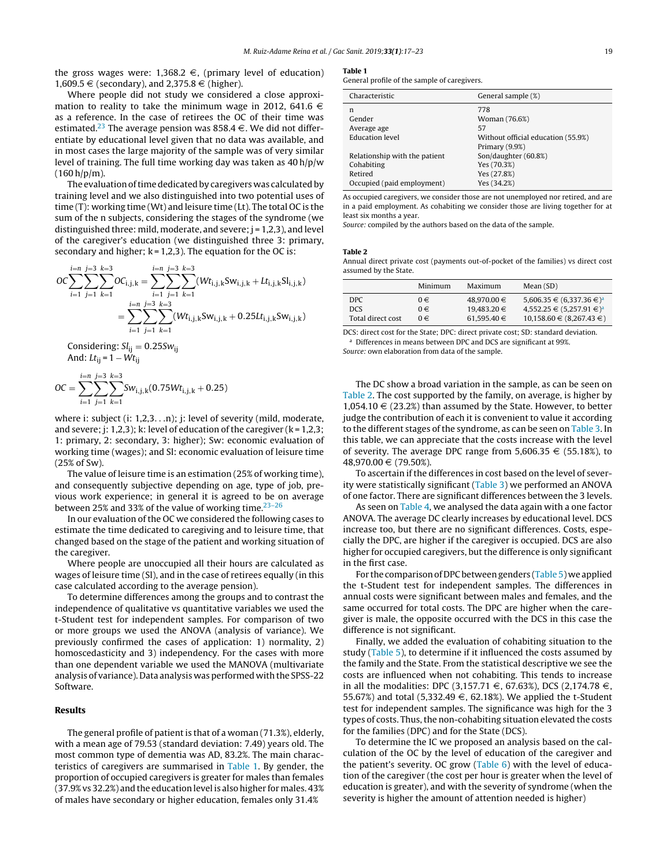the gross wages were: 1,368.2  $\in$ , (primary level of education) 1,609.5  $\in$  (secondary), and 2,375.8  $\in$  (higher).

Where people did not study we considered a close approximation to reality to take the minimum wage in 2012, 641.6  $\in$ as a reference. In the case of retirees the OC of their time was estimated.<sup>[23](#page-6-0)</sup> The average pension was 858.4  $\in$ . We did not differentiate by educational level given that no data was available, and in most cases the large majority of the sample was of very similar level of training. The full time working day was taken as 40 h/p/w  $(160 h/p/m)$ .

The evaluation of time dedicated by caregivers was calculated by training level and we also distinguished into two potential uses of time (T): working time (Wt) and leisure time (Lt). The total OC is the sum of the n subjects, considering the stages of the syndrome (we distinguished three: mild, moderate, and severe;  $j = 1,2,3$ ), and level of the caregiver's education (we distinguished three 3: primary, secondary and higher;  $k = 1,2,3$ ). The equation for the OC is:

$$
OC \sum_{i=1}^{i=n} \sum_{j=1}^{j=3} \sum_{k=1}^{k=3} OC_{i,j,k} = \sum_{i=1}^{i=n} \sum_{j=1}^{j=3} \sum_{k=1}^{k=3} (Wt_{i,j,k}Sw_{i,j,k} + Lt_{i,j,k}Sl_{i,j,k})
$$
  
= 
$$
\sum_{i=1}^{i=n} \sum_{j=1}^{j=3} \sum_{k=1}^{k=3} (Wt_{i,j,k}Sw_{i,j,k} + 0.25Lt_{i,j,k}Sw_{i,j,k})
$$

Considering:  $Sl_{ij} = 0.25Sw_{ij}$ And:  $Lt_{ij} = 1 - Wt_{ij}$ 

$$
OC = \sum_{i=1}^{i=n} \sum_{j=1}^{j=3} \sum_{k=1}^{k=3} Sw_{i,j,k}(0.75Wt_{i,j,k} + 0.25)
$$

where i: subject (i: 1,2,3. . .n); j: level of severity (mild, moderate, and severe; j: 1,2,3); k: level of education of the caregiver  $(k = 1,2,3;$ 1: primary, 2: secondary, 3: higher); Sw: economic evaluation of working time (wages); and Sl: economic evaluation of leisure time (25% of Sw).

The value of leisure time is an estimation (25% of working time), and consequently subjective depending on age, type of job, previous work experience; in general it is agreed to be on average between 25% and 33% of the value of working time.<sup>23-26</sup>

In our evaluation of the OC we considered the following cases to estimate the time dedicated to caregiving and to leisure time, that changed based on the stage of the patient and working situation of the caregiver.

Where people are unoccupied all their hours are calculated as wages of leisure time (Sl), and in the case of retirees equally (in this case calculated according to the average pension).

To determine differences among the groups and to contrast the independence of qualitative vs quantitative variables we used the t-Student test for independent samples. For comparison of two or more groups we used the ANOVA (analysis of variance). We previously confirmed the cases of application: 1) normality, 2) homoscedasticity and 3) independency. For the cases with more than one dependent variable we used the MANOVA (multivariate analysis of variance). Data analysis was performed with the SPSS-22 Software.

#### Results

The general profile of patient is that of a woman (71.3%), elderly, with a mean age of 79.53 (standard deviation: 7.49) years old. The most common type of dementia was AD, 83.2%. The main characteristics of caregivers are summarised in Table 1. By gender, the proportion of occupied caregivers is greater for males than females (37.9%vs 32.2%) and the education level is also higher formales. 43% of males have secondary or higher education, females only 31.4%

#### Table 1

General profile of the sample of caregivers.

| Characteristic                | General sample (%)                 |
|-------------------------------|------------------------------------|
| n                             | 778                                |
| Gender                        | Woman (76.6%)                      |
| Average age                   | 57                                 |
| <b>Education level</b>        | Without official education (55.9%) |
|                               | Primary (9.9%)                     |
| Relationship with the patient | Son/daughter (60.8%)               |
| Cohabiting                    | Yes (70.3%)                        |
| Retired                       | Yes (27.8%)                        |
| Occupied (paid employment)    | Yes (34.2%)                        |

As occupied caregivers, we consider those are not unemployed nor retired, and are in a paid employment. As cohabiting we consider those are living together for at least six months a year.

Source: compiled by the authors based on the data of the sample.

#### Table 2

Annual direct private cost (payments out-of-pocket of the families) vs direct cost assumed by the State.

|                               | Minimum            | Maximum                    | Mean $(SD)$                                                                  |
|-------------------------------|--------------------|----------------------------|------------------------------------------------------------------------------|
| D <sub>PC</sub><br><b>DCS</b> | $0 \in$<br>$0 \in$ | 48.970.00 €<br>19.483.20 € | 5,606.35 € (6,337.36 €) <sup>a</sup><br>4,552.25 € (5,257.91 €) <sup>a</sup> |
| Total direct cost             | $0 \in$            | 61.595.40 $\in$            | $10,158.60 \in (8,267.43 \in)$                                               |

DCS: direct cost for the State; DPC: direct private cost; SD: standard deviation. Differences in means between DPC and DCS are significant at 99%. Source: own elaboration from data of the sample.

The DC show a broad variation in the sample, as can be seen on Table 2. The cost supported by the family, on average, is higher by 1,054.10  $\in$  (23.2%) than assumed by the State. However, to better judge the contribution of each it is convenient to value it according to the different stages of the syndrome, as can be seen on [Table](#page-3-0) 3. In this table, we can appreciate that the costs increase with the level of severity. The average DPC range from  $5,606.35 \in (55.18\%)$ , to  $48,970.00 \in (79.50\%).$ 

To ascertain if the differences in cost based on the level of severity were statistically significant ([Table](#page-3-0) 3) we performed an ANOVA of one factor. There are significant differences between the 3 levels.

As seen on [Table](#page-3-0) 4, we analysed the data again with a one factor ANOVA. The average DC clearly increases by educational level. DCS increase too, but there are no significant differences. Costs, especially the DPC, are higher if the caregiver is occupied. DCS are also higher for occupied caregivers, but the difference is only significant in the first case.

For the comparison of DPC between genders ([Table](#page-4-0) 5) we applied the t-Student test for independent samples. The differences in annual costs were significant between males and females, and the same occurred for total costs. The DPC are higher when the caregiver is male, the opposite occurred with the DCS in this case the difference is not significant.

Finally, we added the evaluation of cohabiting situation to the study ([Table](#page-4-0) 5), to determine if it influenced the costs assumed by the family and the State. From the statistical descriptive we see the costs are influenced when not cohabiting. This tends to increase in all the modalities: DPC (3,157.71  $\in$ , 67.63%), DCS (2,174.78  $\in$ , 55.67%) and total (5,332.49 €, 62.18%). We applied the t-Student test for independent samples. The significance was high for the 3 types of costs. Thus, the non-cohabiting situation elevated the costs for the families (DPC) and for the State (DCS).

To determine the IC we proposed an analysis based on the calculation of the OC by the level of education of the caregiver and the patient's severity. OC grow [\(Table](#page-4-0) 6) with the level of education of the caregiver (the cost per hour is greater when the level of education is greater), and with the severity of syndrome (when the severity is higher the amount of attention needed is higher)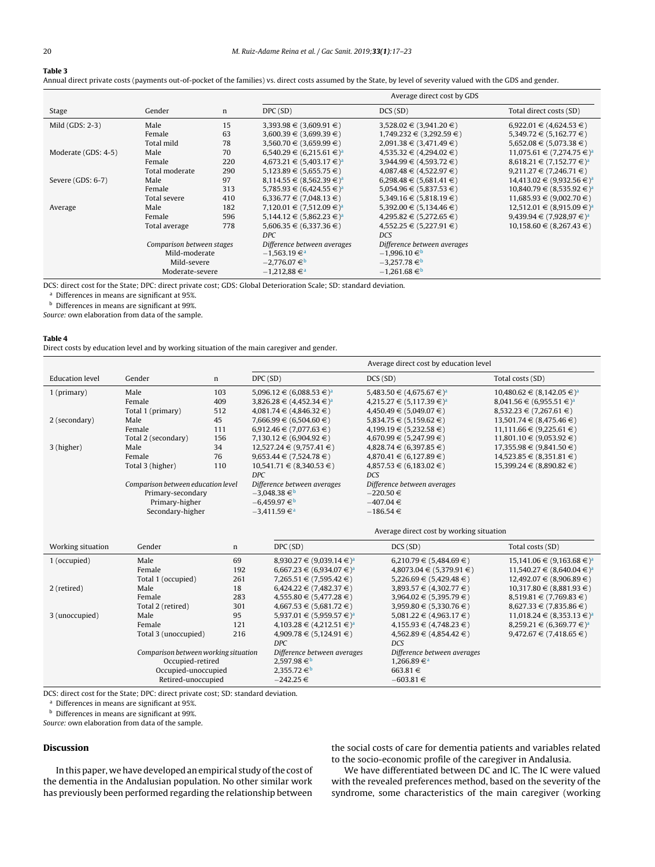# <span id="page-3-0"></span>Table 3

Annual direct private costs (payments out-of-pocket of the families) vs. direct costs assumed by the State, by level of severity valued with the GDS and gender.

|                     |                                            |     |                                      | Average direct cost by GDS     |                                             |
|---------------------|--------------------------------------------|-----|--------------------------------------|--------------------------------|---------------------------------------------|
| Stage               | Gender                                     | n   | DPC(SD)                              | DCS(SD)                        | Total direct costs (SD)                     |
| Mild (GDS: 2-3)     | Male                                       | 15  | $3,393.98 \in (3,609.91 \in)$        | 3,528.02 € (3,941.20 €)        | $6,922.01 \in (4,624.53 \in)$               |
|                     | Female                                     | 63  | $3,600.39 \in (3,699.39 \in)$        | $1,749.232 \in (3,292.59 \in)$ | 5,349.72 € (5,162.77 €)                     |
|                     | Total mild                                 | 78  | 3,560,70 € (3,659.99 €)              | $2,091.38 \in (3,471.49 \in)$  | 5,652,08 € (5,073,38 €)                     |
| Moderate (GDS: 4-5) | Male                                       | 70  | 6,540.29 € (6,215.61 €) <sup>a</sup> | $4,535.32 \in (4,294.02 \in)$  | $11,075.61 \in (7,274.75 \in \mathbb{R}^2)$ |
|                     | Female                                     | 220 | 4,673.21 € (5,403.17 €) <sup>a</sup> | 3,944.99 € (4,593.72 €)        | $8,618.21 \in (7,152.77 \in )^a$            |
|                     | Total moderate                             | 290 | 5,123,89 € (5,655,75 €)              | $4,087.48 \in (4,522.97 \in)$  | 9,211.27 $\in$ (7,246.71 $\in$ )            |
| Severe (GDS: 6-7)   | Male                                       | 97  | $8,114.55 \in (8,562.39 \in )^a$     | $6,298.48 \in (5,681.41 \in)$  | $14,413.02 \in (9,932.56 \in \mathbb{R}^3$  |
|                     | Female                                     | 313 | 5,785.93 € (6,424.55 €) <sup>a</sup> | 5,054.96 € (5,837.53 €)        | $10,840.79 \in (8,535.92 \in \mathbb{R}^2)$ |
|                     | Total severe                               | 410 | 6,336.77 € (7,048.13 €)              | 5,349.16 € (5,818.19 €)        | $11,685.93 \in (9,002.70 \in)$              |
| Average             | Male                                       | 182 | 7,120.01 € (7,512.09 €) <sup>a</sup> | 5,392.00 € (5,134.46 €)        | $12,512.01 \in (8,915.09 \in )^a$           |
|                     | Female                                     | 596 | 5,144.12 € (5,862.23 €) <sup>a</sup> | $4,295.82 \in (5,272.65 \in)$  | 9,439.94 € (7,928,97 €) <sup>a</sup>        |
|                     | Total average                              | 778 | 5,606.35 € (6,337.36 €)              | $4,552.25 \in (5,227.91 \in)$  | $10,158.60 \in (8,267.43 \in)$              |
|                     |                                            |     | DPC                                  | <b>DCS</b>                     |                                             |
|                     | Comparison between stages<br>Mild-moderate |     | Difference between averages          | Difference between averages    |                                             |
|                     |                                            |     | $-1,563.19 \in a$                    | $-1,996.10 \in b$              |                                             |
|                     | Mild-severe                                |     | $-2,776.07 \in b$                    | $-3,257.78 \in b$              |                                             |
|                     | Moderate-severe                            |     | $-1,212,88 \in \mathbb{R}^d$         | $-1,261.68 \in b$              |                                             |

DCS: direct cost for the State; DPC: direct private cost; GDS: Global Deterioration Scale; SD: standard deviation.

<sup>a</sup> Differences in means are significant at 95%.

<sup>b</sup> Differences in means are significant at 99%.

Source: own elaboration from data of the sample.

#### Table 4

Direct costs by education level and by working situation of the main caregiver and gender.

|                        |                                           |     |                                          | Average direct cost by education level   |                                           |  |
|------------------------|-------------------------------------------|-----|------------------------------------------|------------------------------------------|-------------------------------------------|--|
| <b>Education level</b> | Gender                                    | n   | DPC (SD)                                 | DCS (SD)                                 | Total costs (SD)                          |  |
| 1 (primary)            | Male                                      | 103 | 5,096.12 € (6,088.53 €) <sup>a</sup>     | 5,483.50 € (4,675.67 €) <sup>a</sup>     | 10,480.62 € (8,142.05 €) <sup>a</sup>     |  |
|                        | Female                                    | 409 | 3,826.28 € (4,452.34 €) <sup>a</sup>     | 4,215.27 € (5,117.39 €) <sup>a</sup>     | $8,041.56 \in (6,955.51 \in )^a$          |  |
|                        | Total 1 (primary)                         | 512 | $4,081.74 \in (4,846.32 \in)$            | $4,450.49 \in (5,049.07 \in)$            | $8,532.23 \in (7,267.61 \in)$             |  |
| 2 (secondary)          | Male                                      | 45  | 7,666.99 € (6,504.60 €)                  | 5,834.75 € (5,159.62 €)                  | 13,501.74 € (8,475.46 €)                  |  |
|                        | Female                                    | 111 | $6,912.46 \in (7,077.63 \in)$            | $4,199.19 \in (5,232.58 \in)$            | $11,111.66 \in (9,225.61 \in)$            |  |
|                        | Total 2 (secondary)                       | 156 | 7,130.12 € (6,904.92 €)                  | $4,670.99 \in (5,247.99 \in)$            | $11,801.10 \in (9,053.92 \in)$            |  |
| 3 (higher)             | Male                                      | 34  | $12,527.24 \in (9,757.41 \in)$           | $4,828.74 \in (6,397.85 \in)$            | $17,355.98 \in (9,841.50 \in)$            |  |
|                        | Female                                    | 76  | 9,653.44 $\in$ (7,524.78 $\in$ )         | $4,870.41 \in (6,127.89 \in)$            | $14,523.85 \in (8,351.81 \in)$            |  |
|                        | Total 3 (higher)                          | 110 | $10,541.71 \in (8,340.53 \in)$           | $4,857.53 \in (6,183.02 \in)$            | 15,399.24 € (8,890.82 €)                  |  |
|                        |                                           |     | <b>DPC</b>                               | <b>DCS</b>                               |                                           |  |
|                        | Comparison between education level        |     | Difference between averages              | Difference between averages              |                                           |  |
|                        | Primary-secondary                         |     | $-3,048.38 \in b$                        | $-220.50 \in$                            |                                           |  |
|                        | Primary-higher                            |     | $-6,459.97 \in b$                        | $-407.04 \in$                            |                                           |  |
|                        | Secondary-higher                          |     | $-3,411.59 \in a$                        | $-186.54 \in$                            |                                           |  |
|                        |                                           |     |                                          |                                          |                                           |  |
|                        |                                           |     |                                          |                                          |                                           |  |
|                        |                                           |     |                                          | Average direct cost by working situation |                                           |  |
| Working situation      | Gender                                    | n   | DPC(SD)                                  | DCS (SD)                                 | Total costs (SD)                          |  |
| 1 (occupied)           | Male                                      | 69  | 8,930.27 € (9,039.14 €) <sup>a</sup>     | $6,210.79 \in (5,484.69 \in)$            | 15,141.06 € (9,163.68 €) <sup>a</sup>     |  |
|                        | Female                                    | 192 | 6,667.23 € (6,934.07 €) <sup>a</sup>     | $4,8073.04 \in (5,379.91 \in)$           | 11,540.27 € (8,640.04 €) <sup>a</sup>     |  |
|                        | Total 1 (occupied)                        | 261 | 7,265.51 € (7,595.42 €)                  | 5,226.69 € (5,429.48 €)                  | $12,492.07 \in (8,906.89 \in)$            |  |
| 2 (retired)            | Male                                      | 18  | 6,424.22 € (7,482.37 €)                  | 3,893.57 € (4,302.77 €)                  | $10,317.80 \in (8,881.93 \in)$            |  |
|                        | Female                                    | 283 | $4,555.80 \in (5,477.28 \in)$            | 3,964.02 € (5,395.79 €)                  | $8,519.81 \in (7,769.83 \in)$             |  |
|                        | Total 2 (retired)                         | 301 | $4,667.53 \in (5,681.72 \in)$            | 3,959.80 € (5,330.76 €)                  | $8,627.33 \in (7,835.86 \in)$             |  |
| 3 (unoccupied)         | Male                                      | 95  | 5,937.01 € (5,959.57 €) <sup>a</sup>     | 5,081.22 € (4,963.17 €)                  | 11,018.24 € (8,353.13 €) <sup>a</sup>     |  |
|                        | Female                                    | 121 | 4,103.28 € (4,212.51 €) <sup>a</sup>     | $4,155.93 \in (4,748.23 \in)$            | $8,259.21 \in (6,369.77 \in \mathbb{R}^3$ |  |
|                        | Total 3 (unoccupied)                      | 216 | $4,909.78 \in (5,124.91 \in)$            | $4,562.89 \in (4,854.42 \in)$            | $9,472.67 \in (7,418.65 \in)$             |  |
|                        |                                           |     | DPC                                      | <b>DCS</b>                               |                                           |  |
|                        | Comparison between working situation      |     | Difference between averages              | Difference between averages              |                                           |  |
|                        | Occupied-retired                          |     | 2,597.98 € <sup>b</sup>                  | 1,266.89 € <sup>a</sup>                  |                                           |  |
|                        | Occupied-unoccupied<br>Retired-unoccupied |     | 2,355.72 € <sup>b</sup><br>$-242.25 \in$ | 663.81 $∈$<br>$-603.81 \in$              |                                           |  |

DCS: direct cost for the State; DPC: direct private cost; SD: standard deviation.

<sup>a</sup> Differences in means are significant at 95%.

**b** Differences in means are significant at 99%.

Source: own elaboration from data of the sample.

# Discussion

In this paper, we have developed an empirical study of the cost of the dementia in the Andalusian population. No other similar work has previously been performed regarding the relationship between the social costs of care for dementia patients and variables related to the socio-economic profile of the caregiver in Andalusia.

We have differentiated between DC and IC. The IC were valued with the revealed preferences method, based on the severity of the syndrome, some characteristics of the main caregiver (working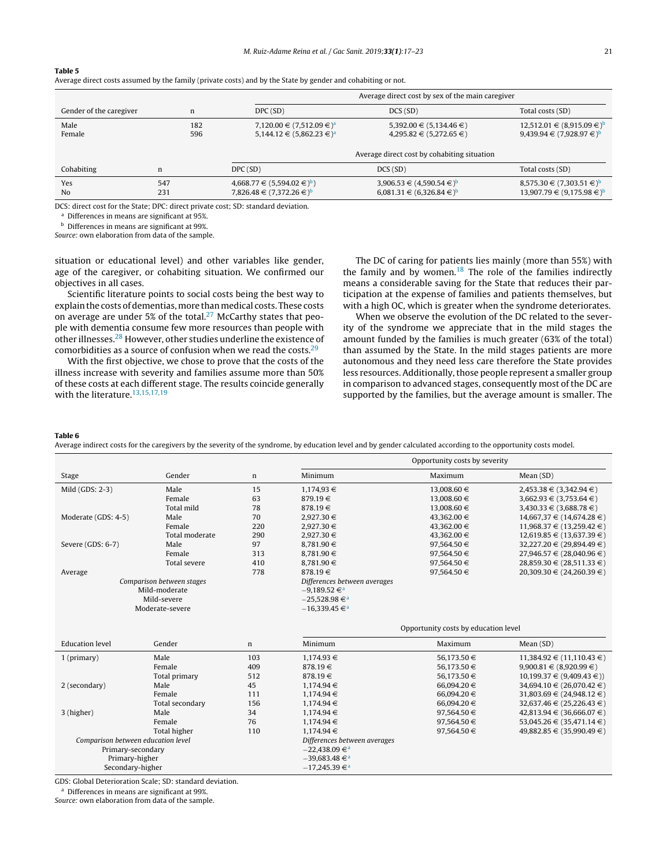### <span id="page-4-0"></span>Table 5

| Average direct costs assumed by the family (private costs) and by the State by gender and cohabiting or not. |  |  |  |  |  |
|--------------------------------------------------------------------------------------------------------------|--|--|--|--|--|
|--------------------------------------------------------------------------------------------------------------|--|--|--|--|--|

|                         |            | Average direct cost by sex of the main caregiver                               |                                                                              |                                                                                              |
|-------------------------|------------|--------------------------------------------------------------------------------|------------------------------------------------------------------------------|----------------------------------------------------------------------------------------------|
| Gender of the caregiver | n          | DPC(SD)                                                                        | DCS(SD)                                                                      | Total costs (SD)                                                                             |
| Male<br>Female          | 182<br>596 | 7,120,00 € (7,512,09 €) <sup>a</sup><br>5,144.12 € (5,862.23 €) <sup>a</sup>   | 5,392,00 € (5,134.46 €)<br>$4,295.82 \in (5,272.65 \in)$                     | $12,512.01 \in (8,915.09 \in)$ <sup>b</sup><br>9,439.94 $\in$ (7,928.97 $\in$ ) <sup>b</sup> |
|                         |            |                                                                                | Average direct cost by cohabiting situation                                  |                                                                                              |
| Cohabiting              | n          | DPC (SD)                                                                       | DCS(SD)                                                                      | Total costs (SD)                                                                             |
| Yes<br>N <sub>o</sub>   | 547<br>231 | $4,668.77 \in (5,594.02 \in)^b$ )<br>7,826.48 € $(7,372.26 \in \mathcal{F})^b$ | 3,906.53 € (4,590.54 €) <sup>b</sup><br>6,081.31 € (6,326.84 €) <sup>b</sup> | $8,575.30 \in (7,303.51 \in \mathcal{P}$<br>$13,907.79 \in (9,175.98 \in)$ <sup>b</sup>      |

DCS: direct cost for the State; DPC: direct private cost; SD: standard deviation. <sup>a</sup> Differences in means are significant at 95%.

<sup>b</sup> Differences in means are significant at 99%.

Source: own elaboration from data of the sample.

situation or educational level) and other variables like gender, age of the caregiver, or cohabiting situation. We confirmed our objectives in all cases.

Scientific literature points to social costs being the best way to explain the costs of dementias, more than medical costs. These costs on average are under 5% of the total. $27$  McCarthy states that people with dementia consume few more resources than people with other illnesses.[28](#page-6-0) However, other studies underline the existence of comorbidities as a source of confusion when we read the costs. $29$ 

With the first objective, we chose to prove that the costs of the illness increase with severity and families assume more than 50% of these costs at each different stage. The results coincide generally with the literature.<sup>[13,15,17,19](#page-6-0)</sup>

The DC of caring for patients lies mainly (more than 55%) with the family and by women.<sup>[18](#page-6-0)</sup> The role of the families indirectly means a considerable saving for the State that reduces their participation at the expense of families and patients themselves, but with a high OC, which is greater when the syndrome deteriorates.

When we observe the evolution of the DC related to the severity of the syndrome we appreciate that in the mild stages the amount funded by the families is much greater (63% of the total) than assumed by the State. In the mild stages patients are more autonomous and they need less care therefore the State provides less resources. Additionally, those people represent a smaller group in comparison to advanced stages, consequently most of the DC are supported by the families, but the average amount is smaller. The

#### Table 6

Average indirect costs for the caregivers by the severity of the syndrome, by education level and by gender calculated according to the opportunity costs model.

|                                    |                           |             | Opportunity costs by severity        |                                                          |                                 |  |
|------------------------------------|---------------------------|-------------|--------------------------------------|----------------------------------------------------------|---------------------------------|--|
| Stage                              | Gender                    | n           | Minimum                              | Maximum                                                  | Mean (SD)                       |  |
| Mild (GDS: 2-3)                    | Male                      | 15          | $1.174.93 \in$                       | 13,008.60 €                                              | 2,453.38 € (3,342.94 €)         |  |
|                                    | Female                    | 63          | 879.19€                              | 13,008.60 €                                              | 3,662.93 € (3,753.64 €)         |  |
|                                    | Total mild                | 78          | 878.19 $\in$                         | 13,008.60 €                                              | 3,430.33 € (3,688.78 €)         |  |
| Moderate (GDS: 4-5)                | Male                      | 70          | $2.927.30 \in$                       | 43,362.00 €                                              | $14,667,37 \in (14,674.28 \in)$ |  |
|                                    | Female                    | 220         | $2,927.30 \in$                       | 43.362.00 €                                              | $11,968.37 \in (13,259.42 \in)$ |  |
|                                    | Total moderate            | 290         | $2.927.30 \in$                       | 43.362.00 €                                              | $12,619.85 \in (13,637.39 \in)$ |  |
| Severe (GDS: 6-7)                  | Male                      | 97          | 8.781.90 €                           | 97.564.50 €                                              | 32,227.20 € (29,894.49 €)       |  |
|                                    | Female                    | 313         | 8.781.90 €                           | 97.564.50 €                                              | 27,946.57 € (28,040.96 €)       |  |
|                                    | Total severe              | 410         | 8.781.90 €                           | 97.564.50 €                                              | 28,859.30 € (28,511.33 €)       |  |
| Average                            |                           | 778         | 878.19 $\in$                         | 97.564.50 €                                              | 20,309.30 € (24,260.39 €)       |  |
|                                    | Comparison between stages |             | Differences between averages         |                                                          |                                 |  |
|                                    | Mild-moderate             |             | $-9,189.52 \in \alpha$               |                                                          |                                 |  |
|                                    | Mild-severe               |             | $-25,528.98 \in \mathbb{R}^4$        |                                                          |                                 |  |
|                                    | Moderate-severe           |             | $-16,339.45 \in a$                   |                                                          |                                 |  |
|                                    |                           |             |                                      |                                                          |                                 |  |
|                                    |                           |             | Opportunity costs by education level |                                                          |                                 |  |
| <b>Education level</b>             | Gender                    | $\mathbf n$ | Minimum                              | Maximum                                                  | Mean(SD)                        |  |
| $1$ (primary)                      | Male                      | 103         | 1,174.93 €                           | 56,173.50 €                                              | $11,384.92 \in (11,110.43 \in)$ |  |
|                                    | Female                    | 409         | $878.19 \in$                         | 56,173.50 €                                              | $9,900.81 \in (8,920.99 \in)$   |  |
|                                    | Total primary             | 512         | 878.19 $\in$                         | 56.173.50 €                                              | $10,199.37 \in (9,409.43 \in)$  |  |
| 2 (secondary)                      | Male                      | 45          | $1.174.94 \in$                       | 66,094.20 €                                              | 34,694.10 € (26,070.42 €)       |  |
|                                    | Female                    | 111         | $1.174.94 \in$                       | 66.094.20 €                                              | 31,803.69 € (24,948.12 €)       |  |
|                                    | Total secondary           | 156         | $1.174.94 \in$                       | 66.094.20 €                                              | 32,637.46 € (25,226.43 €)       |  |
| 3 (higher)                         | Male                      | 34          | 1,174.94 €                           | 97,564.50 €                                              | $42,813.94 \in (36,666.07 \in)$ |  |
|                                    | Female                    | 76          | 1,174.94 €                           | 97,564.50 €                                              | 53,045.26 € (35,471.14 €)       |  |
|                                    | Total higher              | 110         | 1,174.94 €                           | 97,564.50 €                                              | 49,882,85 € (35,990,49 €)       |  |
| Comparison between education level |                           |             | Differences between averages         |                                                          |                                 |  |
|                                    | Primary-secondary         |             |                                      |                                                          |                                 |  |
|                                    | Primary-higher            |             |                                      | $-22,438.09 \in \mathbb{R}^4$<br>$-39,683.48 \in \alpha$ |                                 |  |
|                                    |                           |             |                                      |                                                          |                                 |  |
| Secondary-higher                   |                           |             | $-17,245.39 \in \mathbb{R}^4$        |                                                          |                                 |  |

GDS: Global Deterioration Scale; SD: standard deviation.

<sup>a</sup> Differences in means are significant at 99%.

Source: own elaboration from data of the sample.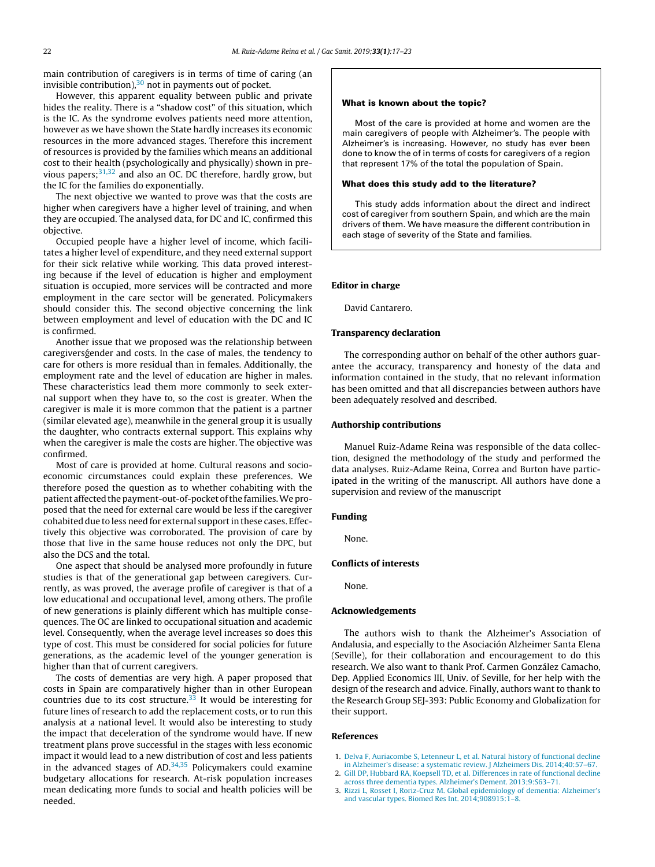<span id="page-5-0"></span>main contribution of caregivers is in terms of time of caring (an invisible contribution), $30$  not in payments out of pocket.

However, this apparent equality between public and private hides the reality. There is a "shadow cost" of this situation, which is the IC. As the syndrome evolves patients need more attention, however as we have shown the State hardly increases its economic resources in the more advanced stages. Therefore this increment of resources is provided by the families which means an additional cost to their health (psychologically and physically) shown in pre-vious papers;<sup>[31,32](#page-6-0)</sup> and also an OC. DC therefore, hardly grow, but the IC for the families do exponentially.

The next objective we wanted to prove was that the costs are higher when caregivers have a higher level of training, and when they are occupied. The analysed data, for DC and IC, confirmed this objective.

Occupied people have a higher level of income, which facilitates a higher level of expenditure, and they need external support for their sick relative while working. This data proved interesting because if the level of education is higher and employment situation is occupied, more services will be contracted and more employment in the care sector will be generated. Policymakers should consider this. The second objective concerning the link between employment and level of education with the DC and IC is confirmed.

Another issue that we proposed was the relationship between caregiversgender and costs. In the case of males, the tendency to care for others is more residual than in females. Additionally, the employment rate and the level of education are higher in males. These characteristics lead them more commonly to seek external support when they have to, so the cost is greater. When the caregiver is male it is more common that the patient is a partner (similar elevated age), meanwhile in the general group it is usually the daughter, who contracts external support. This explains why when the caregiver is male the costs are higher. The objective was confirmed.

Most of care is provided at home. Cultural reasons and socioeconomic circumstances could explain these preferences. We therefore posed the question as to whether cohabiting with the patient affected the payment-out-of-pocket of the families. We proposed that the need for external care would be less if the caregiver cohabited due to less need for external supportin these cases. Effectively this objective was corroborated. The provision of care by those that live in the same house reduces not only the DPC, but also the DCS and the total.

One aspect that should be analysed more profoundly in future studies is that of the generational gap between caregivers. Currently, as was proved, the average profile of caregiver is that of a low educational and occupational level, among others. The profile of new generations is plainly different which has multiple consequences. The OC are linked to occupational situation and academic level. Consequently, when the average level increases so does this type of cost. This must be considered for social policies for future generations, as the academic level of the younger generation is higher than that of current caregivers.

The costs of dementias are very high. A paper proposed that costs in Spain are comparatively higher than in other European countries due to its cost structure.<sup>[33](#page-6-0)</sup> It would be interesting for future lines of research to add the replacement costs, or to run this analysis at a national level. It would also be interesting to study the impact that deceleration of the syndrome would have. If new treatment plans prove successful in the stages with less economic impact it would lead to a new distribution of cost and less patients in the advanced stages of AD. $34,35$  Policymakers could examine budgetary allocations for research. At-risk population increases mean dedicating more funds to social and health policies will be needed.

## What is known about the topic?

Most of the care is provided at home and women are the main caregivers of people with Alzheimer's. The people with Alzheimer's is increasing. However, no study has ever been done to know the of in terms of costs for caregivers of a region that represent 17% of the total the population of Spain.

### What does this study add to the literature?

This study adds information about the direct and indirect cost of caregiver from southern Spain, and which are the main drivers of them. We have measure the different contribution in each stage of severity of the State and families.

#### Editor in charge

David Cantarero.

#### Transparency declaration

The corresponding author on behalf of the other authors guarantee the accuracy, transparency and honesty of the data and information contained in the study, that no relevant information has been omitted and that all discrepancies between authors have been adequately resolved and described.

#### Authorship contributions

Manuel Ruiz-Adame Reina was responsible of the data collection, designed the methodology of the study and performed the data analyses. Ruiz-Adame Reina, Correa and Burton have participated in the writing of the manuscript. All authors have done a supervision and review of the manuscript

#### Funding

None.

# Conflicts of interests

None.

### Acknowledgements

The authors wish to thank the Alzheimer's Association of Andalusia, and especially to the Asociación Alzheimer Santa Elena (Seville), for their collaboration and encouragement to do this research. We also want to thank Prof. Carmen González Camacho, Dep. Applied Economics III, Univ. of Seville, for her help with the design of the research and advice. Finally, authors want to thank to the Research Group SEJ-393: Public Economy and Globalization for their support.

#### References

- 1. Delva F, Auriacombe S, Letenneur L, et al. Natural history of functional decline in Alzheimer's disease: a systematic review. J Alzheimers Dis. 2014;40:57–67.
- 2. Gill DP, Hubbard RA, Koepsell TD, et al. Differences in rate of functional decline across three dementia types. Alzheimer's Dement. 2013;9:S63–71.
- 3. Rizzi L, Rosset I, Roriz-Cruz M. Global epidemiology of dementia: Alzheimer's and vascular types. Biomed Res Int. 2014;908915:1–8.